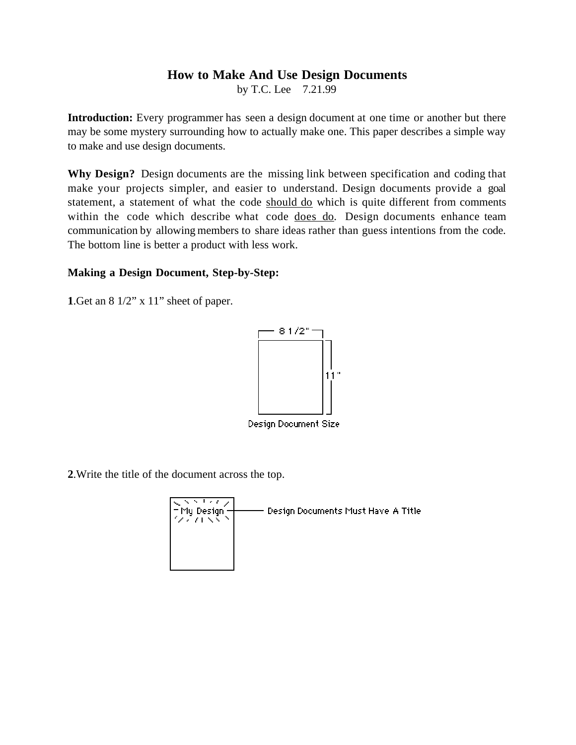## **How to Make And Use Design Documents**

by T.C. Lee 7.21.99

**Introduction:** Every programmer has seen a design document at one time or another but there may be some mystery surrounding how to actually make one. This paper describes a simple way to make and use design documents.

**Why Design?** Design documents are the missing link between specification and coding that make your projects simpler, and easier to understand. Design documents provide a goal statement, a statement of what the code should do which is quite different from comments within the code which describe what code does do. Design documents enhance team communication by allowing members to share ideas rather than guess intentions from the code. The bottom line is better a product with less work.

## **Making a Design Document, Step-by-Step:**

**1**.Get an 8 1/2" x 11" sheet of paper.



Design Document Size

**2**.Write the title of the document across the top.

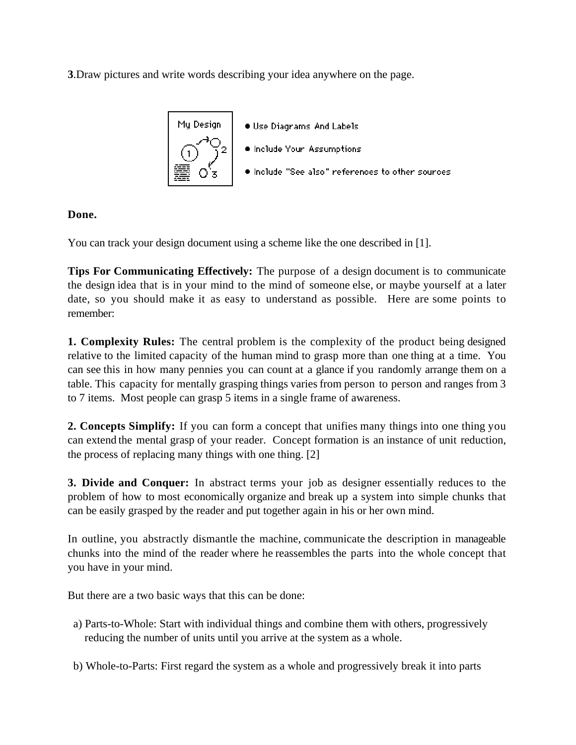**3**.Draw pictures and write words describing your idea anywhere on the page.



## **Done.**

You can track your design document using a scheme like the one described in [1].

**Tips For Communicating Effectively:** The purpose of a design document is to communicate the design idea that is in your mind to the mind of someone else, or maybe yourself at a later date, so you should make it as easy to understand as possible. Here are some points to remember:

**1. Complexity Rules:** The central problem is the complexity of the product being designed relative to the limited capacity of the human mind to grasp more than one thing at a time. You can see this in how many pennies you can count at a glance if you randomly arrange them on a table. This capacity for mentally grasping things varies from person to person and ranges from 3 to 7 items. Most people can grasp 5 items in a single frame of awareness.

**2. Concepts Simplify:** If you can form a concept that unifies many things into one thing you can extend the mental grasp of your reader. Concept formation is an instance of unit reduction, the process of replacing many things with one thing. [2]

**3. Divide and Conquer:** In abstract terms your job as designer essentially reduces to the problem of how to most economically organize and break up a system into simple chunks that can be easily grasped by the reader and put together again in his or her own mind.

In outline, you abstractly dismantle the machine, communicate the description in manageable chunks into the mind of the reader where he reassembles the parts into the whole concept that you have in your mind.

But there are a two basic ways that this can be done:

- a) Parts-to-Whole: Start with individual things and combine them with others, progressively reducing the number of units until you arrive at the system as a whole.
- b) Whole-to-Parts: First regard the system as a whole and progressively break it into parts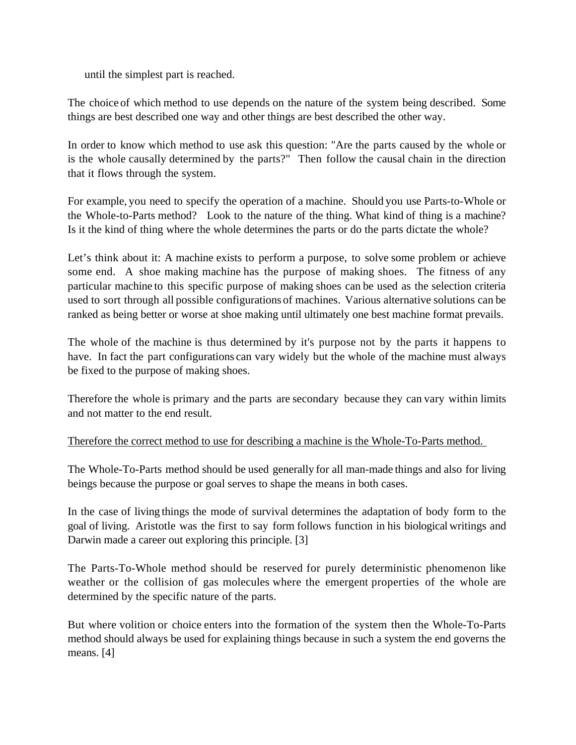until the simplest part is reached.

The choice of which method to use depends on the nature of the system being described. Some things are best described one way and other things are best described the other way.

In order to know which method to use ask this question: "Are the parts caused by the whole or is the whole causally determined by the parts?" Then follow the causal chain in the direction that it flows through the system.

For example, you need to specify the operation of a machine. Should you use Parts-to-Whole or the Whole-to-Parts method? Look to the nature of the thing. What kind of thing is a machine? Is it the kind of thing where the whole determines the parts or do the parts dictate the whole?

Let's think about it: A machine exists to perform a purpose, to solve some problem or achieve some end. A shoe making machine has the purpose of making shoes. The fitness of any particular machine to this specific purpose of making shoes can be used as the selection criteria used to sort through all possible configurations of machines. Various alternative solutions can be ranked as being better or worse at shoe making until ultimately one best machine format prevails.

The whole of the machine is thus determined by it's purpose not by the parts it happens to have. In fact the part configurations can vary widely but the whole of the machine must always be fixed to the purpose of making shoes.

Therefore the whole is primary and the parts are secondary because they can vary within limits and not matter to the end result.

Therefore the correct method to use for describing a machine is the Whole-To-Parts method.

The Whole-To-Parts method should be used generally for all man-made things and also for living beings because the purpose or goal serves to shape the means in both cases.

In the case of living things the mode of survival determines the adaptation of body form to the goal of living. Aristotle was the first to say form follows function in his biological writings and Darwin made a career out exploring this principle. [3]

The Parts-To-Whole method should be reserved for purely deterministic phenomenon like weather or the collision of gas molecules where the emergent properties of the whole are determined by the specific nature of the parts.

But where volition or choice enters into the formation of the system then the Whole-To-Parts method should always be used for explaining things because in such a system the end governs the means. [4]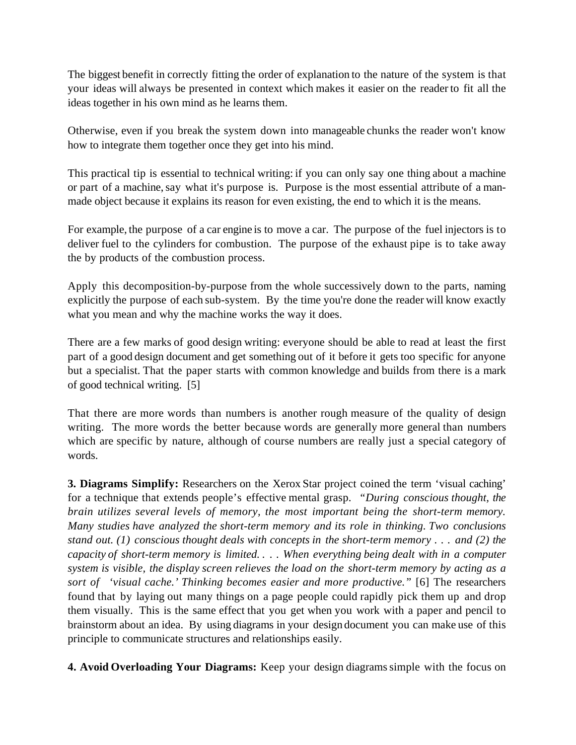The biggest benefit in correctly fitting the order of explanation to the nature of the system is that your ideas will always be presented in context which makes it easier on the reader to fit all the ideas together in his own mind as he learns them.

Otherwise, even if you break the system down into manageable chunks the reader won't know how to integrate them together once they get into his mind.

This practical tip is essential to technical writing: if you can only say one thing about a machine or part of a machine, say what it's purpose is. Purpose is the most essential attribute of a manmade object because it explains its reason for even existing, the end to which it is the means.

For example, the purpose of a car engine is to move a car. The purpose of the fuel injectors is to deliver fuel to the cylinders for combustion. The purpose of the exhaust pipe is to take away the by products of the combustion process.

Apply this decomposition-by-purpose from the whole successively down to the parts, naming explicitly the purpose of each sub-system. By the time you're done the reader will know exactly what you mean and why the machine works the way it does.

There are a few marks of good design writing: everyone should be able to read at least the first part of a good design document and get something out of it before it gets too specific for anyone but a specialist. That the paper starts with common knowledge and builds from there is a mark of good technical writing. [5]

That there are more words than numbers is another rough measure of the quality of design writing. The more words the better because words are generally more general than numbers which are specific by nature, although of course numbers are really just a special category of words.

**3. Diagrams Simplify:** Researchers on the Xerox Star project coined the term 'visual caching' for a technique that extends people's effective mental grasp. *"During conscious thought, the brain utilizes several levels of memory, the most important being the short-term memory. Many studies have analyzed the short-term memory and its role in thinking. Two conclusions stand out. (1) conscious thought deals with concepts in the short-term memory . . . and (2) the capacity of short-term memory is limited. . . . When everything being dealt with in a computer system is visible, the display screen relieves the load on the short-term memory by acting as a sort of 'visual cache.' Thinking becomes easier and more productive."* [6] The researchers found that by laying out many things on a page people could rapidly pick them up and drop them visually. This is the same effect that you get when you work with a paper and pencil to brainstorm about an idea. By using diagrams in your design document you can make use of this principle to communicate structures and relationships easily.

**4. Avoid Overloading Your Diagrams:** Keep your design diagrams simple with the focus on